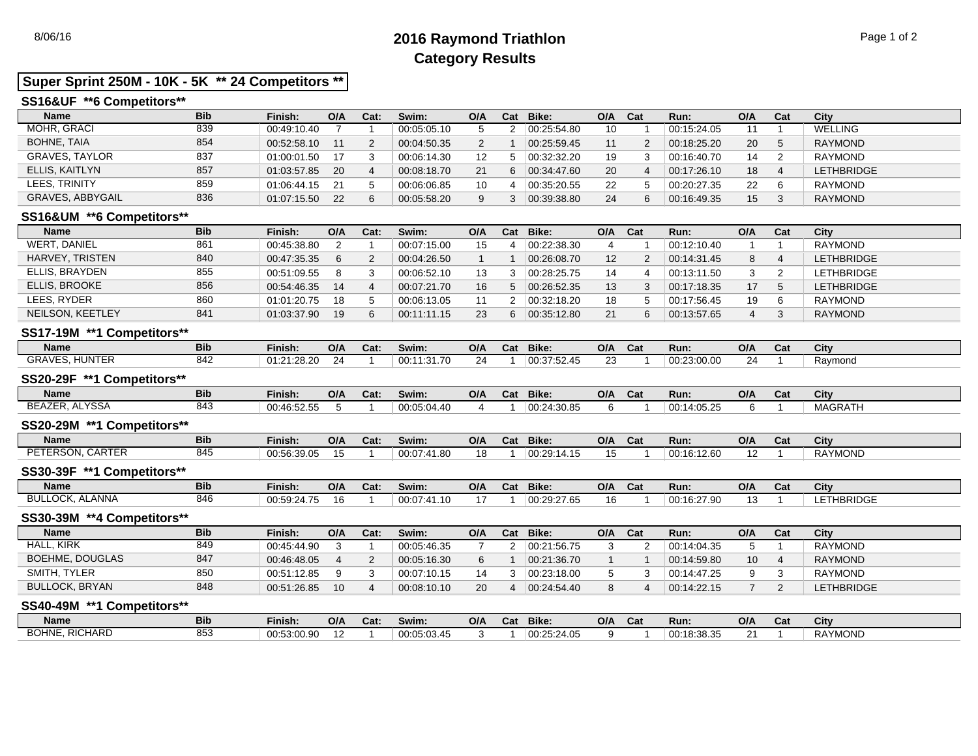# 8/06/16 **2016 Raymond Triathlon** Page 1 of 2 **Category Results**

## **Super Sprint 250M - 10K - 5K \*\* 24 Competitors \*\***

## **SS16&UF \*\*6 Competitors\*\***

| <b>Name</b>           | <b>Bib</b> | Finish:     | O/A  | Cat: | Swim:       | O/A | Cat | Bike:       | O/A | Cat | Run:        | O/A             | Cat            | City              |
|-----------------------|------------|-------------|------|------|-------------|-----|-----|-------------|-----|-----|-------------|-----------------|----------------|-------------------|
| MOHR, GRACI           | 839        | 00:49:10.40 |      |      | 00:05:05.10 |     |     | 00:25:54.80 | 10  |     | 00:15:24.05 |                 |                | WELLING           |
| <b>BOHNE, TAIA</b>    | 854        | 00:52:58.10 | 11   | ົ    | 00:04:50.35 |     |     | 00:25:59.45 |     |     | 00:18:25.20 | 20              | -5             | <b>RAYMOND</b>    |
| <b>GRAVES, TAYLOR</b> | 837        | 01:00:01.50 | - 17 | ີ    | 00:06:14.30 | 12  |     | 00:32:32.20 | 19  |     | 00:16:40.70 | 14              | - 2            | <b>RAYMOND</b>    |
| ELLIS, KAITLYN        | 857        | 01:03:57.85 | 20   | 4    | 00:08:18.70 | 21  | 6   | 00:34:47.60 | 20  |     | 00:17:26.10 | 18              |                | <b>LETHBRIDGE</b> |
| LEES. TRINITY         | 859        | 01:06:44.15 | 21   |      | 00:06:06.85 | 10  |     | 00:35:20.55 | 22  |     | 00:20:27.35 | 22              | - 6            | <b>RAYMOND</b>    |
| GRAVES, ABBYGAIL      | 836        | 01:07:15.50 | 22   | 6    | 00:05:58.20 |     |     | 00:39:38.80 | 24  |     | 00:16:49.35 | 15 <sup>1</sup> | 3 <sup>7</sup> | <b>RAYMOND</b>    |

## **SS16&UM \*\*6 Competitors\*\***

| <b>Name</b>         | <b>Bib</b> | Finish:     | O/A | Cat: | Swim:       | O/A | Cat | Bike:       | O/A | Cat | Run:        | O/A | Cat | City              |
|---------------------|------------|-------------|-----|------|-------------|-----|-----|-------------|-----|-----|-------------|-----|-----|-------------------|
| <b>WERT, DANIEL</b> | 861        | 00:45:38.80 |     |      | 00:07:15.00 | 15  |     | 00:22:38.30 |     |     | 00:12:10.40 |     |     | RAYMOND           |
| HARVEY, TRISTEN     | 840        | 00:47:35.35 | 6   | 2    | 00:04:26.50 |     |     | 00:26:08.70 | 12  |     | 00:14:31.45 |     |     | <b>LETHBRIDGE</b> |
| ELLIS, BRAYDEN      | 855        | 00:51:09.55 | 8   | 3    | 00:06:52.10 | 13  |     | 00:28:25.75 | 14  |     | 00:13:11.50 |     |     | LETHBRIDGE        |
| ELLIS, BROOKE       | 856        | 00:54:46.35 | 14  |      | 00:07:21.70 | 16  |     | 00:26:52.35 | 13  |     | 00:17:18.35 | 17  |     | <b>LETHBRIDGE</b> |
| LEES, RYDER         | 860        | 01:01:20.75 | 18  |      | 00:06:13.05 |     |     | 00:32:18.20 | 18  |     | 00:17:56.45 | 19  |     | <b>RAYMOND</b>    |
| NEILSON, KEETLEY    | 841        | 01:03:37.90 |     | 6    | 00:11:11.15 | 23  |     | 00:35:12.80 |     |     | 00:13:57.65 |     |     | <b>RAYMOND</b>    |

## **SS17-19M \*\*1 Competitors\*\***

| Name                                                                                                                         | <b>Bib</b> | Finish:                 | O/A                                  | Cat: | Swim: | O/A                           | Cat | Bike:                               | O/A | Cat | Run:             | O/A     | val | City    |
|------------------------------------------------------------------------------------------------------------------------------|------------|-------------------------|--------------------------------------|------|-------|-------------------------------|-----|-------------------------------------|-----|-----|------------------|---------|-----|---------|
| GRAVES.<br>$\mathbf{1}$ $\mathbf{1}$ $\mathbf{1}$ $\mathbf{N}$ $\mathbf{1}$ $\mathbf{T}$ $\mathbf{1}$ $\mathbf{N}$<br>HUNIER | ៰៱៱<br>ے+⊙ | 01:21<br>ממים<br>:28.20 | $\Omega$<br>$\overline{\phantom{a}}$ |      | .     | $\overline{\phantom{a}}$<br>- |     | 00075<br>. . <i>. .</i> .<br>ו שויש |     |     | 00:23<br>3:00.00 | 24<br>- |     | Ravmond |
|                                                                                                                              |            |                         |                                      |      |       |                               |     |                                     |     |     |                  |         |     |         |

## **SS20-29F \*\*1 Competitors\*\***

| <b>Name</b>               | <b>Bib</b> | Finish:     | O/A | Cat: | Swim:       | O/A | $\sim$<br>-ual | Bike:       | O/A | Cat | Run:        | O/A | Cat | City           |
|---------------------------|------------|-------------|-----|------|-------------|-----|----------------|-------------|-----|-----|-------------|-----|-----|----------------|
| <b>BEAZER</b><br>. ALYSSA | 843        | 00:46:52.55 |     |      | 00:05:04.40 |     |                | 00:24:30.85 |     |     | 00:14:05.25 |     |     | <b>MAGRATH</b> |

## **SS20-29M \*\*1 Competitors\*\***

| Name                | <b>Bib</b> | Finish:     | O/A | Cat: | Swim:                | O/A       | Cat | <b>Bike:</b> | O/A | $\sim$<br>∿d⊾ | Run:        | O/A               | Cat | City           |
|---------------------|------------|-------------|-----|------|----------------------|-----------|-----|--------------|-----|---------------|-------------|-------------------|-----|----------------|
| CARTER<br>PETERSON, | 845        | 00:56:39.05 |     |      | 00:07:41.80<br>00.07 | 4 C<br>10 |     | 00:29:14.15  | שו  |               | 00:16:12.60 | $\sqrt{2}$<br>۱۷. |     | <b>RAYMOND</b> |
|                     |            |             |     |      |                      |           |     |              |     |               |             |                   |     |                |

#### **SS30-39F \*\*1 Competitors\*\***

| <b>Bib</b><br>Name                                     | Finish:     | O/A | Cat: | Swim:            | O/A | Cat | <b>Bike:</b> | O/A | Cat | Run:        | O/A | Cat | City                   |
|--------------------------------------------------------|-------------|-----|------|------------------|-----|-----|--------------|-----|-----|-------------|-----|-----|------------------------|
| <b>BULLOCK</b><br>LANNA<br>846<br>$\sim$ $\sim$ $\sim$ | 00:59:24.75 | 16  |      | 00:07:41<br>. 10 |     |     | 00:29:27.65  |     |     | 00:16:27.90 |     |     | <b>ETHBRIDGE</b><br>-- |

## **SS30-39M \*\*4 Competitors\*\***

| <b>Name</b>           | <b>Bib</b> | Finish:     | O/A | Cat: | Swim:       | O/A | Cat | Bike:       | O/A | Cat | Run:        | O/A | Cat | City              |
|-----------------------|------------|-------------|-----|------|-------------|-----|-----|-------------|-----|-----|-------------|-----|-----|-------------------|
| <b>HALL, KIRK</b>     | 849        | 00:45:44.90 |     |      | 00:05:46.35 |     |     | 00:21:56.75 |     |     | 00:14:04.35 |     |     | RAYMOND           |
| BOEHME, DOUGLAS       | 847        | 00:46:48.05 |     |      | 00:05:16.30 |     |     | 00.21.36.70 |     |     | 00:14:59.80 | 10  |     | <b>RAYMOND</b>    |
| SMITH, TYLER          | 850        | 00:51:12.85 |     |      | 00:07:10.15 | 14  |     | 00:23:18.00 |     |     | 00:14:47.25 |     |     | RAYMOND           |
| <b>BULLOCK, BRYAN</b> | 848        | 00:51:26.85 | 10  |      | 00:08:10.10 | 20  |     | 00:24:54.40 |     |     | 00:14:22.15 |     |     | <b>LETHBRIDGE</b> |

### **SS40-49M \*\*1 Competitors\*\***

| <b>Name</b>             | Bib           | Finish:     | O/A                   | Cat: | Swim:       | O/A | $P_{\rm{max}}$<br>Juan 1 | Bike:       | O/A | Cat | Run:        | O/A    | $\mathbf{r}$<br>udl | City           |
|-------------------------|---------------|-------------|-----------------------|------|-------------|-----|--------------------------|-------------|-----|-----|-------------|--------|---------------------|----------------|
| RICHARD<br><b>BOHNE</b> | $\sim$<br>853 | 00:53:00.90 | $\overline{ }$<br>' - |      | 00:05:03.45 |     |                          | 00:25:24.05 |     |     | 00:18:38.35 | $\sim$ |                     | <b>RAYMOND</b> |